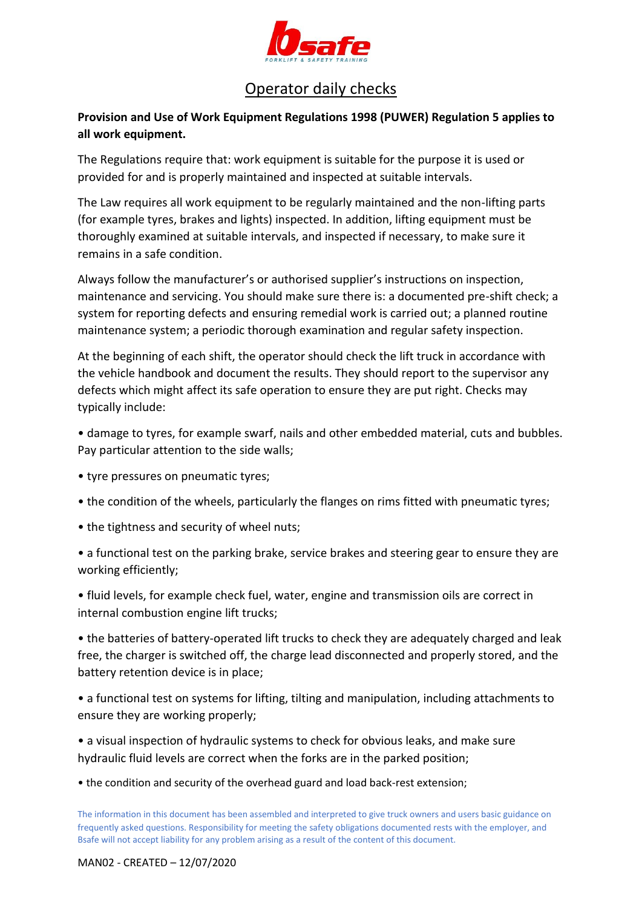

## Operator daily checks

## **Provision and Use of Work Equipment Regulations 1998 (PUWER) Regulation 5 applies to all work equipment.**

The Regulations require that: work equipment is suitable for the purpose it is used or provided for and is properly maintained and inspected at suitable intervals.

The Law requires all work equipment to be regularly maintained and the non-lifting parts (for example tyres, brakes and lights) inspected. In addition, lifting equipment must be thoroughly examined at suitable intervals, and inspected if necessary, to make sure it remains in a safe condition.

Always follow the manufacturer's or authorised supplier's instructions on inspection, maintenance and servicing. You should make sure there is: a documented pre-shift check; a system for reporting defects and ensuring remedial work is carried out; a planned routine maintenance system; a periodic thorough examination and regular safety inspection.

At the beginning of each shift, the operator should check the lift truck in accordance with the vehicle handbook and document the results. They should report to the supervisor any defects which might affect its safe operation to ensure they are put right. Checks may typically include:

• damage to tyres, for example swarf, nails and other embedded material, cuts and bubbles. Pay particular attention to the side walls;

- tyre pressures on pneumatic tyres;
- the condition of the wheels, particularly the flanges on rims fitted with pneumatic tyres;
- the tightness and security of wheel nuts;

• a functional test on the parking brake, service brakes and steering gear to ensure they are working efficiently;

• fluid levels, for example check fuel, water, engine and transmission oils are correct in internal combustion engine lift trucks;

• the batteries of battery-operated lift trucks to check they are adequately charged and leak free, the charger is switched off, the charge lead disconnected and properly stored, and the battery retention device is in place;

• a functional test on systems for lifting, tilting and manipulation, including attachments to ensure they are working properly;

• a visual inspection of hydraulic systems to check for obvious leaks, and make sure hydraulic fluid levels are correct when the forks are in the parked position;

• the condition and security of the overhead guard and load back-rest extension;

The information in this document has been assembled and interpreted to give truck owners and users basic guidance on frequently asked questions. Responsibility for meeting the safety obligations documented rests with the employer, and Bsafe will not accept liability for any problem arising as a result of the content of this document.